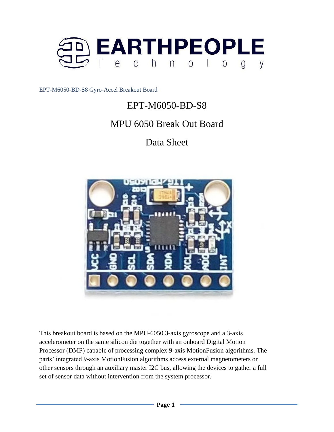

# EPT-M6050-BD-S8

# MPU 6050 Break Out Board

# Data Sheet



This breakout board is based on the MPU-6050 3-axis gyroscope and a 3-axis accelerometer on the same silicon die together with an onboard Digital Motion Processor (DMP) capable of processing complex 9-axis MotionFusion algorithms. The parts' integrated 9-axis MotionFusion algorithms access external magnetometers or other sensors through an auxiliary master I2C bus, allowing the devices to gather a full set of sensor data without intervention from the system processor.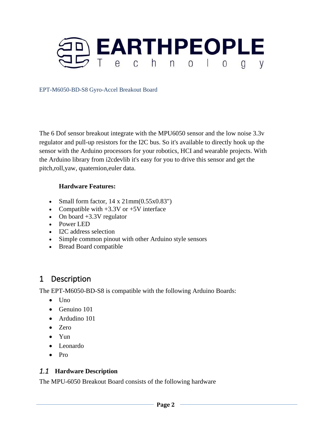

The 6 Dof sensor breakout integrate with the MPU6050 sensor and the low noise 3.3v regulator and pull-up resistors for the I2C bus. So it's available to directly hook up the sensor with the Arduino processors for your robotics, HCI and wearable projects. With the Arduino library from i2cdevlib it's easy for you to drive this sensor and get the pitch,roll,yaw, quaternion,euler data.

#### **Hardware Features:**

- Small form factor,  $14 \times 21 \text{mm}(0.55 \times 0.83)$
- Compatible with  $+3.3V$  or  $+5V$  interface
- On board +3.3V regulator
- Power LED
- I2C address selection
- Simple common pinout with other Arduino style sensors
- Bread Board compatible

# 1 Description

The EPT-M6050-BD-S8 is compatible with the following Arduino Boards:

- Uno
- Genuino 101
- Ardudino 101
- Zero
- Yun
- Leonardo
- Pro

#### *1.1* **Hardware Description**

The MPU-6050 Breakout Board consists of the following hardware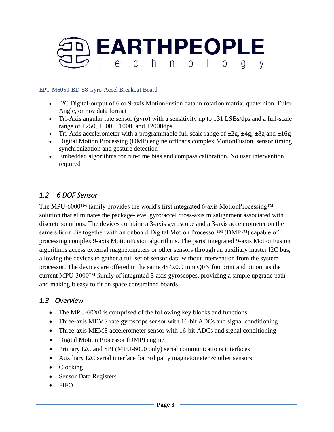

- I2C Digital-output of 6 or 9-axis MotionFusion data in rotation matrix, quaternion, Euler Angle, or raw data format
- Tri-Axis angular rate sensor (gyro) with a sensitivity up to 131 LSBs/dps and a full-scale range of  $\pm 250$ ,  $\pm 500$ ,  $\pm 1000$ , and  $\pm 2000$ dps
- Tri-Axis accelerometer with a programmable full scale range of  $\pm 2g$ ,  $\pm 4g$ ,  $\pm 8g$  and  $\pm 16g$
- Digital Motion Processing (DMP) engine offloads complex MotionFusion, sensor timing synchronization and gesture detection
- Embedded algorithms for run-time bias and compass calibration. No user intervention required

# *1.2 6 DOF Sensor*

The MPU-6000™ family provides the world's first integrated 6-axis MotionProcessing™ solution that eliminates the package-level gyro/accel cross-axis misalignment associated with discrete solutions. The devices combine a 3-axis gyroscope and a 3-axis accelerometer on the same silicon die together with an onboard Digital Motion Processor™ (DMP™) capable of processing complex 9-axis MotionFusion algorithms. The parts' integrated 9-axis MotionFusion algorithms access external magnetometers or other sensors through an auxiliary master I2C bus, allowing the devices to gather a full set of sensor data without intervention from the system processor. The devices are offered in the same 4x4x0.9 mm QFN footprint and pinout as the current MPU-3000™ family of integrated 3-axis gyroscopes, providing a simple upgrade path and making it easy to fit on space constrained boards.

## *1.3 Overview*

- The MPU-60X0 is comprised of the following key blocks and functions:
- Three-axis MEMS rate gyroscope sensor with 16-bit ADCs and signal conditioning
- Three-axis MEMS accelerometer sensor with 16-bit ADCs and signal conditioning
- Digital Motion Processor (DMP) engine
- Primary I2C and SPI (MPU-6000 only) serial communications interfaces
- Auxiliary I2C serial interface for 3rd party magnetometer & other sensors
- Clocking
- Sensor Data Registers
- FIFO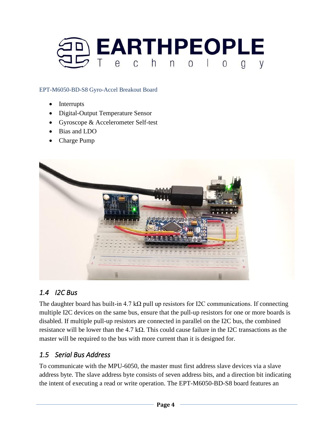

- **Interrupts**
- Digital-Output Temperature Sensor
- Gyroscope & Accelerometer Self-test
- Bias and LDO
- Charge Pump



## *1.4 I2C Bus*

The daughter board has built-in 4.7 k $\Omega$  pull up resistors for I2C communications. If connecting multiple I2C devices on the same bus, ensure that the pull-up resistors for one or more boards is disabled. If multiple pull-up resistors are connected in parallel on the I2C bus, the combined resistance will be lower than the 4.7 kΩ. This could cause failure in the I2C transactions as the master will be required to the bus with more current than it is designed for.

## *1.5 Serial Bus Address*

To communicate with the MPU-6050, the master must first address slave devices via a slave address byte. The slave address byte consists of seven address bits, and a direction bit indicating the intent of executing a read or write operation. The EPT-M6050-BD-S8 board features an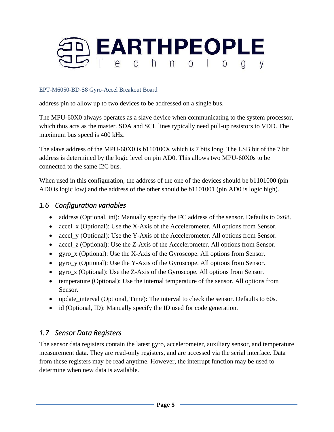

address pin to allow up to two devices to be addressed on a single bus.

The MPU-60X0 always operates as a slave device when communicating to the system processor, which thus acts as the master. SDA and SCL lines typically need pull-up resistors to VDD. The maximum bus speed is 400 kHz.

The slave address of the MPU-60X0 is b110100X which is 7 bits long. The LSB bit of the 7 bit address is determined by the logic level on pin AD0. This allows two MPU-60X0s to be connected to the same I2C bus.

When used in this configuration, the address of the one of the devices should be b1101000 (pin AD0 is logic low) and the address of the other should be b1101001 (pin AD0 is logic high).

## *1.6 Configuration variables*

- address (Optional, int): Manually specify the I<sup>2</sup>C address of the sensor. Defaults to 0x68.
- accel\_x (Optional): Use the X-Axis of the Accelerometer. All options from Sensor.
- accel\_y (Optional): Use the Y-Axis of the Accelerometer. All options from Sensor.
- accel\_z (Optional): Use the Z-Axis of the Accelerometer. All options from Sensor.
- gyro\_x (Optional): Use the X-Axis of the Gyroscope. All options from Sensor.
- gyro\_y (Optional): Use the Y-Axis of the Gyroscope. All options from Sensor.
- gyro\_z (Optional): Use the Z-Axis of the Gyroscope. All options from Sensor.
- temperature (Optional): Use the internal temperature of the sensor. All options from Sensor.
- update\_interval (Optional, Time): The interval to check the sensor. Defaults to 60s.
- id (Optional, ID): Manually specify the ID used for code generation.

## *1.7 Sensor Data Registers*

The sensor data registers contain the latest gyro, accelerometer, auxiliary sensor, and temperature measurement data. They are read-only registers, and are accessed via the serial interface. Data from these registers may be read anytime. However, the interrupt function may be used to determine when new data is available.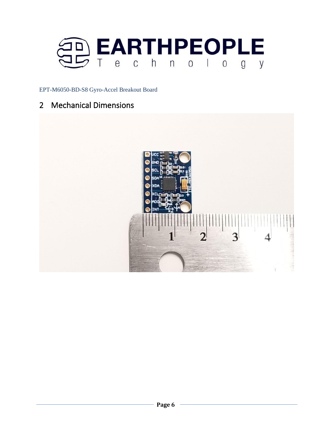

# 2 Mechanical Dimensions

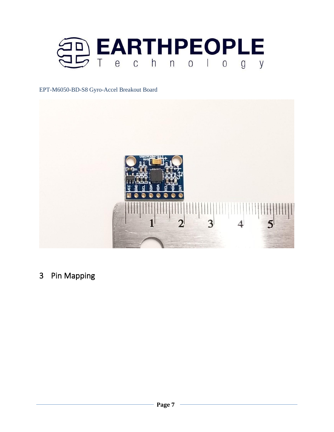



3 Pin Mapping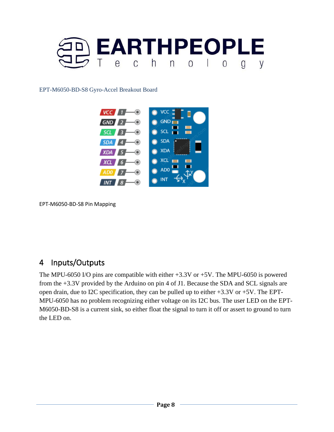



EPT-M6050-BD-S8 Pin Mapping

# 4 Inputs/Outputs

The MPU-6050 I/O pins are compatible with either +3.3V or +5V. The MPU-6050 is powered from the +3.3V provided by the Arduino on pin 4 of J1. Because the SDA and SCL signals are open drain, due to I2C specification, they can be pulled up to either +3.3V or +5V. The EPT-MPU-6050 has no problem recognizing either voltage on its I2C bus. The user LED on the EPT-M6050-BD-S8 is a current sink, so either float the signal to turn it off or assert to ground to turn the LED on.